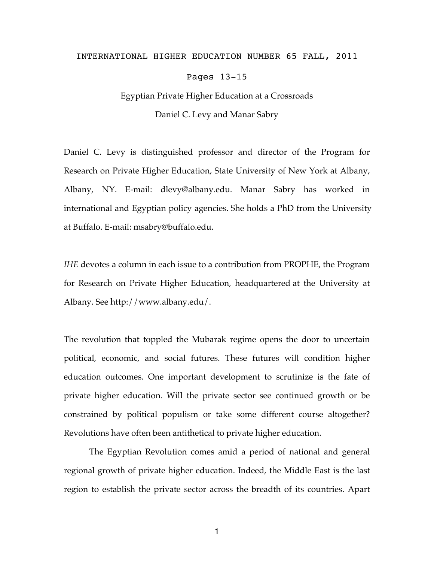## INTERNATIONAL HIGHER EDUCATION NUMBER 65 FALL, 2011

Pages 13-15

## Egyptian Private Higher Education at a Crossroads Daniel C. Levy and Manar Sabry

Daniel C. Levy is distinguished professor and director of the Program for Research on Private Higher Education, State University of New York at Albany, Albany, NY. E-mail: dlevy@albany.edu. Manar Sabry has worked in international and Egyptian policy agencies. She holds a PhD from the University at Buffalo. E-mail: msabry@buffalo.edu.

*IHE* devotes a column in each issue to a contribution from PROPHE, the Program for Research on Private Higher Education, headquartered at the University at Albany. See http://www.albany.edu/.

The revolution that toppled the Mubarak regime opens the door to uncertain political, economic, and social futures. These futures will condition higher education outcomes. One important development to scrutinize is the fate of private higher education. Will the private sector see continued growth or be constrained by political populism or take some different course altogether? Revolutions have often been antithetical to private higher education.

The Egyptian Revolution comes amid a period of national and general regional growth of private higher education. Indeed, the Middle East is the last region to establish the private sector across the breadth of its countries. Apart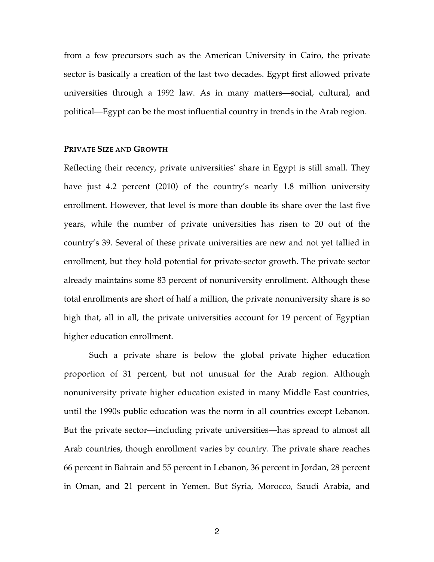from a few precursors such as the American University in Cairo, the private sector is basically a creation of the last two decades. Egypt first allowed private universities through a 1992 law. As in many matters—social, cultural, and political—Egypt can be the most influential country in trends in the Arab region.

## **PRIVATE SIZE AND GROWTH**

Reflecting their recency, private universities' share in Egypt is still small. They have just 4.2 percent (2010) of the country's nearly 1.8 million university enrollment. However, that level is more than double its share over the last five years, while the number of private universities has risen to 20 out of the country's 39. Several of these private universities are new and not yet tallied in enrollment, but they hold potential for private-sector growth. The private sector already maintains some 83 percent of nonuniversity enrollment. Although these total enrollments are short of half a million, the private nonuniversity share is so high that, all in all, the private universities account for 19 percent of Egyptian higher education enrollment.

Such a private share is below the global private higher education proportion of 31 percent, but not unusual for the Arab region. Although nonuniversity private higher education existed in many Middle East countries, until the 1990s public education was the norm in all countries except Lebanon. But the private sector—including private universities—has spread to almost all Arab countries, though enrollment varies by country. The private share reaches 66 percent in Bahrain and 55 percent in Lebanon, 36 percent in Jordan, 28 percent in Oman, and 21 percent in Yemen. But Syria, Morocco, Saudi Arabia, and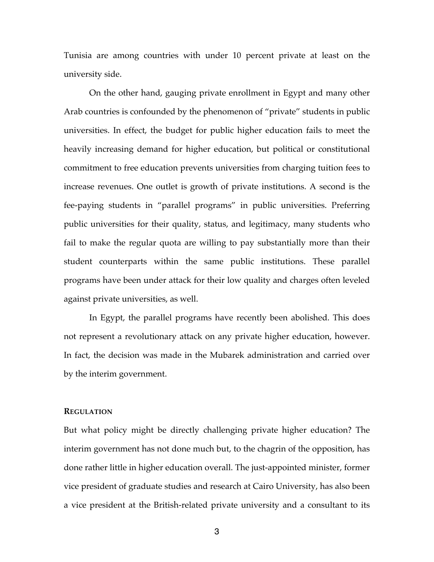Tunisia are among countries with under 10 percent private at least on the university side.

On the other hand, gauging private enrollment in Egypt and many other Arab countries is confounded by the phenomenon of "private" students in public universities. In effect, the budget for public higher education fails to meet the heavily increasing demand for higher education, but political or constitutional commitment to free education prevents universities from charging tuition fees to increase revenues. One outlet is growth of private institutions. A second is the fee-paying students in "parallel programs" in public universities. Preferring public universities for their quality, status, and legitimacy, many students who fail to make the regular quota are willing to pay substantially more than their student counterparts within the same public institutions. These parallel programs have been under attack for their low quality and charges often leveled against private universities, as well.

In Egypt, the parallel programs have recently been abolished. This does not represent a revolutionary attack on any private higher education, however. In fact, the decision was made in the Mubarek administration and carried over by the interim government.

## **REGULATION**

But what policy might be directly challenging private higher education? The interim government has not done much but, to the chagrin of the opposition, has done rather little in higher education overall. The just-appointed minister, former vice president of graduate studies and research at Cairo University, has also been a vice president at the British-related private university and a consultant to its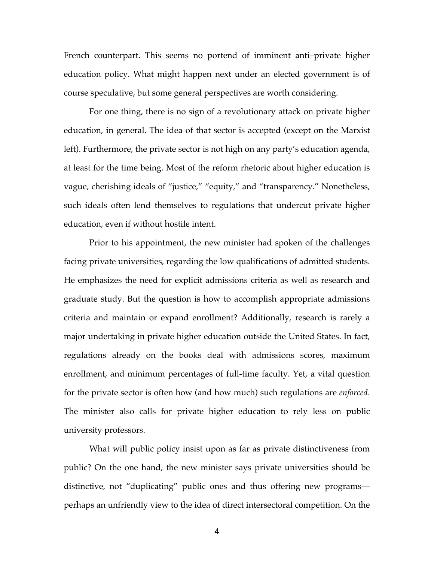French counterpart. This seems no portend of imminent anti–private higher education policy. What might happen next under an elected government is of course speculative, but some general perspectives are worth considering.

For one thing, there is no sign of a revolutionary attack on private higher education, in general. The idea of that sector is accepted (except on the Marxist left). Furthermore, the private sector is not high on any party's education agenda, at least for the time being. Most of the reform rhetoric about higher education is vague, cherishing ideals of "justice," "equity," and "transparency." Nonetheless, such ideals often lend themselves to regulations that undercut private higher education, even if without hostile intent.

Prior to his appointment, the new minister had spoken of the challenges facing private universities, regarding the low qualifications of admitted students. He emphasizes the need for explicit admissions criteria as well as research and graduate study. But the question is how to accomplish appropriate admissions criteria and maintain or expand enrollment? Additionally, research is rarely a major undertaking in private higher education outside the United States. In fact, regulations already on the books deal with admissions scores, maximum enrollment, and minimum percentages of full-time faculty. Yet, a vital question for the private sector is often how (and how much) such regulations are *enforced*. The minister also calls for private higher education to rely less on public university professors.

What will public policy insist upon as far as private distinctiveness from public? On the one hand, the new minister says private universities should be distinctive, not "duplicating" public ones and thus offering new programs perhaps an unfriendly view to the idea of direct intersectoral competition. On the

4